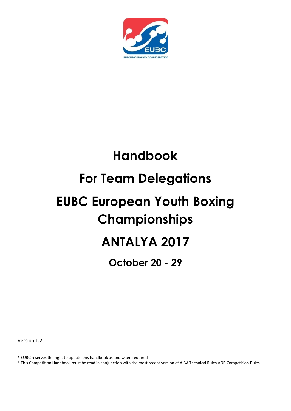

# **Handbook For Team Delegations EUBC European Youth Boxing Championships ANTALYA 2017**

**October 20 - 29**

Version 1.2

\* EUBC reserves the right to update this handbook as and when required

\* This Competition Handbook must be read in conjunction with the most recent version of AIBA Technical Rules AOB Competition Rules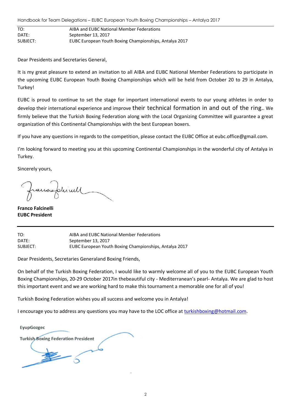Handbook for Team Delegations – EUBC European Youth Boxing Championships – Antalya 2017

| TO:      | AIBA and EUBC National Member Federations              |
|----------|--------------------------------------------------------|
| DATE:    | September 13, 2017                                     |
| SUBJECT: | EUBC European Youth Boxing Championships, Antalya 2017 |

Dear Presidents and Secretaries General,

It is my great pleasure to extend an invitation to all AIBA and EUBC National Member Federations to participate in the upcoming EUBC European Youth Boxing Championships which will be held from October 20 to 29 in Antalya, Turkey!

EUBC is proud to continue to set the stage for important international events to our young athletes in order to develop their international experience and improve their technical formation in and out of the ring.. We firmly believe that the Turkish Boxing Federation along with the Local Organizing Committee will guarantee a great organization of this Continental Championships with the best European boxers.

If you have any questions in regards to the competition, please contact the EUBC Office at eubc.office@gmail.com.

I'm looking forward to meeting you at this upcoming Continental Championships in the wonderful city of Antalya in Turkey.

Sincerely yours,

**Franco Falcinelli EUBC President**

TO: AIBA and EUBC National Member Federations DATE: September 13, 2017 SUBJECT: EUBC European Youth Boxing Championships, Antalya 2017

Dear Presidents, Secretaries Generaland Boxing Friends,

On behalf of the Turkish Boxing Federation, I would like to warmly welcome all of you to the EUBC European Youth Boxing Championships, 20-29 October 2017in thebeautiful city - Mediterranean's pearl- Antalya. We are glad to host this important event and we are working hard to make this tournament a memorable one for all of you!

Turkish Boxing Federation wishes you all success and welcome you in Antalya!

I encourage you to address any questions you may have to the LOC office at [turkishboxing@hotmail.com.](mailto:turkishboxing@hotmail.com)

EyupGozgec **Turkish Boxing Federation President**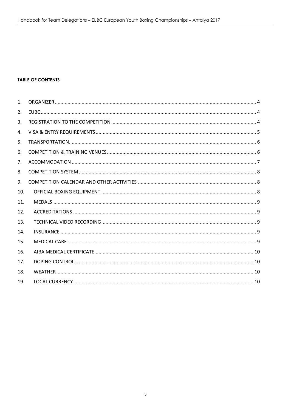#### **TABLE OF CONTENTS**

| 1.  |  |
|-----|--|
| 2.  |  |
| 3.  |  |
| 4.  |  |
| 5.  |  |
| 6.  |  |
| 7.  |  |
| 8.  |  |
| 9.  |  |
| 10. |  |
| 11. |  |
| 12. |  |
| 13. |  |
| 14. |  |
| 15. |  |
| 16. |  |
| 17. |  |
| 18. |  |
| 19. |  |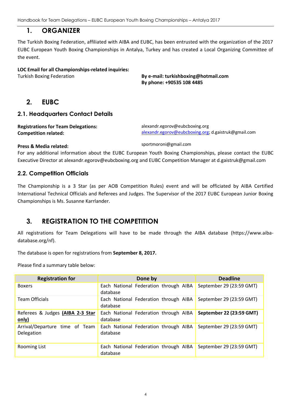## **1. ORGANIZER**

<span id="page-3-0"></span>The Turkish Boxing Federation, affiliated with AIBA and EUBC, has been entrusted with the organization of the 2017 EUBC European Youth Boxing Championships in Antalya, Turkey and has created a Local Organizing Committee of the event.

#### **LOC Email for all Championships-related inquiries:**

<span id="page-3-1"></span>Turkish Boxing Federation **By e-mail: turkishboxing@hotmail.com By phone: +90535 108 4485**

## **2. EUBC**

#### **2.1. Headquarters Contact Details**

**Registrations for Team Delegations: Competition related:**

alexandr.egorov@eubcboxing.org [alexandr.egorov@eubcboxing.org;](mailto:alexandr.egorov@eubcboxing.org) d.gaistruk@gmail.com

#### **Press & Media related:**

sportmoroni@gmail.com

For any additional information about the EUBC European Youth Boxing Championships, please contact the EUBC Executive Director at alexandr.egorov@eubcboxing.org and EUBC Competition Manager at d.gaistruk@gmail.com

#### **2.2. Competition Officials**

The Championship is a 3 Star (as per AOB Competition Rules) event and will be officiated by AIBA Certified International Technical Officials and Referees and Judges. The Supervisor of the 2017 EUBC European Junior Boxing Championships is Ms. Susanne Karrlander.

# <span id="page-3-2"></span>**3. REGISTRATION TO THE COMPETITION**

All registrations for Team Delegations will have to be made through the AIBA database (https://www.aibadatabase.org/nf).

The database is open for registrations from **September 8, 2017.**

Please find a summary table below:

| <b>Registration for</b>                      | Done by                                           | <b>Deadline</b>          |
|----------------------------------------------|---------------------------------------------------|--------------------------|
| <b>Boxers</b>                                | Each National Federation through AIBA<br>database | September 29 (23:59 GMT) |
| <b>Team Officials</b>                        | Each National Federation through AIBA<br>database | September 29 (23:59 GMT) |
| Referees & Judges (AIBA 2-3 Star<br>only)    | Each National Federation through AIBA<br>database | September 22 (23:59 GMT) |
| Arrival/Departure time of Team<br>Delegation | Each National Federation through AIBA<br>database | September 29 (23:59 GMT) |
| Rooming List                                 | Each National Federation through AIBA<br>database | September 29 (23:59 GMT) |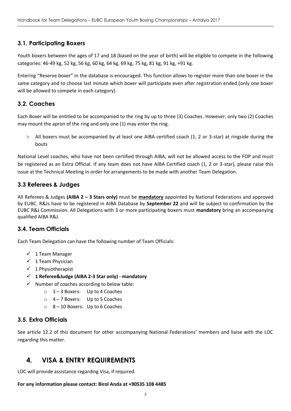## **3.1. Participating Boxers**

Youth boxers between the ages of 17 and 18 (based on the year of birth) will be eligible to compete in the following categories: 46-49 kg, 52 kg, 56 kg, 60 kg, 64 kg, 69 kg, 75 kg, 81 kg, 91 kg, +91 kg.

Entering "Reserve boxer" in the database is encouraged. This function allows to register more than one boxer in the same category and to choose last minute which boxer will participate even after registration ended (only one boxer will be allowed to compete in each category).

#### **3.2. Coaches**

Each Boxer will be entitled to be accompanied to the ring by up to three (3) Coaches. However, only two (2) Coaches may mount the apron of the ring and only one (1) may enter the ring.

 All boxers must be accompanied by at least one AIBA certified coach (1, 2 or 3-star) at ringside during the bouts

National Level coaches, who have not been certified through AIBA, will not be allowed access to the FOP and must be registered as an Extra Official. If any team does not have AIBA Certified coach (1, 2 or 3-star), please raise this issue at the Technical Meeting in order for arrangements to be made with another Team Delegation.

#### **3.3 Referees & Judges**

All Referees & Judges **(AIBA 2 – 3 Stars only)** must be **mandatory** appointed by National Federations and approved by EUBC. R&Js have to be registered in AIBA Database by **September 22** and will be subject to confirmation by the EUBC R&J Commission. All Delegations with 3 or more participating boxers must **mandatory** bring an accompanying qualified AIBA R&J.

#### **3.4. Team Officials**

Each Team Delegation can have the following number of Team Officials:

- $\checkmark$  1 Team Manager
- $\checkmark$  1 Team Physician
- $\checkmark$  1 Physiotherapist
- **1 Referee&Judge (AIBA 2-3 Star only) - mandatory**
- $\checkmark$  Number of coaches according to below table:
	- o 1 3 Boxers: Up to 4 Coaches
	- o 4 7 Boxers: Up to 5 Coaches
	- o 8 10 Boxers: Up to 6 Coaches

#### **3.5. Extra Officials**

See article 12.2 of this document for other accompanying National Federations' members and liaise with the LOC regarding this matter.

# <span id="page-4-0"></span>**4. VISA & ENTRY REQUIREMENTS**

LOC will provide assistance regarding Visa, if required.

#### **For any information please contact: Birol Anda at +90535 108 4485**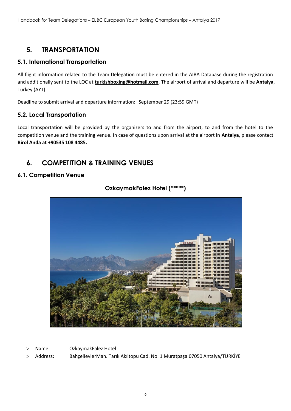# <span id="page-5-0"></span>**5. TRANSPORTATION**

## **5.1. International Transportation**

All flight information related to the Team Delegation must be entered in the AIBA Database during the registration and additionally sent to the LOC at **[turkishboxing@hotmail.com](mailto:turkishboxing@hotmail.com)**. The airport of arrival and departure will be **Antalya**, Turkey (AYT).

Deadline to submit arrival and departure information: September 29 (23:59 GMT)

## **5.2. Local Transportation**

Local transportation will be provided by the organizers to and from the airport, to and from the hotel to the competition venue and the training venue. In case of questions upon arrival at the airport in **Antalya**, please contact **Birol Anda at +90535 108 4485.**

# <span id="page-5-1"></span>**6. COMPETITION & TRAINING VENUES**

## **6.1. Competition Venue**



## **OzkaymakFalez Hotel (\*\*\*\*\*)**

- Name: OzkaymakFalez Hotel
- Address: BahçelievlerMah. Tarık Akıltopu Cad. No: 1 Muratpaşa 07050 Antalya/TÜRKİYE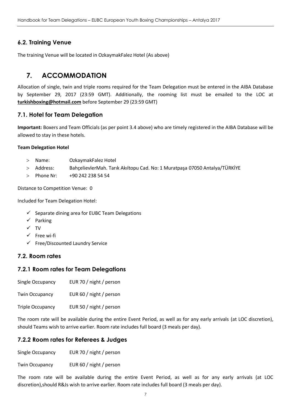## **6.2. Training Venue**

The training Venue will be located in OzkaymakFalez Hotel (As above)

# <span id="page-6-0"></span>**7. ACCOMMODATION**

Allocation of single, twin and triple rooms required for the Team Delegation must be entered in the AIBA Database by September 29, 2017 (23:59 GMT). Additionally, the rooming list must be emailed to the LOC at **[turkishboxing@hotmail.com](mailto:turkishboxing@hotmail.com)** before September 29 (23:59 GMT)

## **7.1. Hotel for Team Delegation**

**Important:** Boxers and Team Officials (as per point 3.4 above) who are timely registered in the AIBA Database will be allowed to stay in these hotels.

#### **Team Delegation Hotel**

- Name: OzkaymakFalez Hotel
- Address: BahçelievlerMah. Tarık Akıltopu Cad. No: 1 Muratpaşa 07050 Antalya/TÜRKİYE
- $>$  Phone Nr:  $+90,242,238,54,54$

Distance to Competition Venue: 0

Included for Team Delegation Hotel:

- $\checkmark$  Separate dining area for EUBC Team Delegations
- $\checkmark$  Parking
- $\checkmark$  TV
- $\checkmark$  Free wi-fi
- $\checkmark$  Free/Discounted Laundry Service

#### **7.2. Room rates**

#### **7.2.1 Room rates for Team Delegations**

Single Occupancy EUR 70 / night / person

Twin Occupancy EUR 60 / night / person

Triple Occupancy EUR 50 / night / person

The room rate will be available during the entire Event Period, as well as for any early arrivals (at LOC discretion), should Teams wish to arrive earlier. Room rate includes full board (3 meals per day).

## **7.2.2 Room rates for Referees & Judges**

Single Occupancy EUR 70 / night / person

Twin Occupancy EUR 60 / night / person

The room rate will be available during the entire Event Period, as well as for any early arrivals (at LOC discretion),should R&Js wish to arrive earlier. Room rate includes full board (3 meals per day).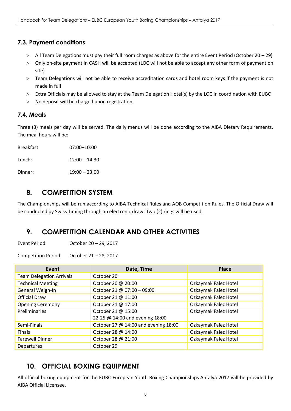## **7.3. Payment conditions**

- All Team Delegations must pay their full room charges as above for the entire Event Period (October 20 29)
- Only on-site payment in CASH will be accepted (LOC will not be able to accept any other form of payment on site)
- Team Delegations will not be able to receive accreditation cards and hotel room keys if the payment is not made in full
- Extra Officials may be allowed to stay at the Team Delegation Hotel(s) by the LOC in coordination with EUBC
- No deposit will be charged upon registration

#### **7.4. Meals**

Three (3) meals per day will be served. The daily menus will be done according to the AIBA Dietary Requirements. The meal hours will be:

Breakfast: 07:00–10:00 Lunch: 12:00 – 14:30 Dinner: 19:00 – 23:00

# <span id="page-7-0"></span>**8. COMPETITION SYSTEM**

The Championships will be run according to AIBA Technical Rules and AOB Competition Rules. The Official Draw will be conducted by Swiss Timing through an electronic draw. Two (2) rings will be used.

# <span id="page-7-1"></span>**9. COMPETITION CALENDAR AND OTHER ACTIVITIES**

Event Period October 20 – 29, 2017

Competition Period: October 21 – 28, 2017

| Event                           | Date, Time                           | <b>Place</b>         |
|---------------------------------|--------------------------------------|----------------------|
| <b>Team Delegation Arrivals</b> | October 20                           |                      |
| <b>Technical Meeting</b>        | October 20 @ 20:00                   | Ozkaymak Falez Hotel |
| General Weigh-In                | October 21 @ 07:00 - 09:00           | Ozkaymak Falez Hotel |
| <b>Official Draw</b>            | October 21 @ 11:00                   | Ozkaymak Falez Hotel |
| <b>Opening Ceremony</b>         | October 21 @ 17:00                   | Ozkaymak Falez Hotel |
| Preliminaries                   | October 21 @ 15:00                   | Ozkaymak Falez Hotel |
|                                 | 22-25 @ 14:00 and evening 18:00      |                      |
| Semi-Finals                     | October 27 @ 14:00 and evening 18:00 | Ozkaymak Falez Hotel |
| <b>Finals</b>                   | October 28 @ 14:00                   | Ozkaymak Falez Hotel |
| <b>Farewell Dinner</b>          | October 28 @ 21:00                   | Ozkaymak Falez Hotel |
| Departures                      | October 29                           |                      |

# <span id="page-7-2"></span>**10. OFFICIAL BOXING EQUIPMENT**

All official boxing equipment for the EUBC European Youth Boxing Championships Antalya 2017 will be provided by AIBA Official Licensee.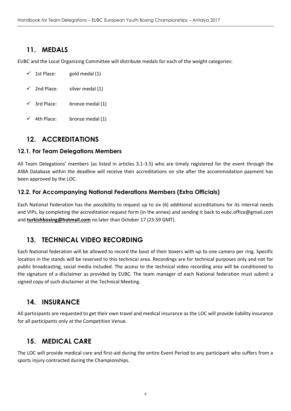# <span id="page-8-0"></span>**11. MEDALS**

EUBC and the Local Organizing Committee will distribute medals for each of the weight categories:

| ✓ | 1st Place: | gold medal (1) |
|---|------------|----------------|
|---|------------|----------------|

- $\checkmark$  2nd Place: silver medal (1)
- $\checkmark$  3rd Place: bronze medal (1)
- $\checkmark$  4th Place: bronze medal (1)

# <span id="page-8-1"></span>**12. ACCREDITATIONS**

## **12.1. For Team Delegations Members**

All Team Delegations' members (as listed in articles 3.1-3.5) who are timely registered for the event through the AIBA Database within the deadline will receive their accreditations on site after the accommodation payment has been approved by the LOC.

## **12.2. For Accompanying National Federations Members (Extra Officials)**

Each National Federation has the possibility to request up to six (6) additional accreditations for its internal needs and VIPs, by completing the accreditation request form (in the annex) and sending it back to eubc.office@gmail.com and **[turkishboxing@hotmail.com](mailto:turkishboxing@hotmail.com)** no later than October 17 (23:59 GMT).

# <span id="page-8-2"></span>**13. TECHNICAL VIDEO RECORDING**

Each National federation will be allowed to record the bout of their boxers with up to one camera per ring. Specific location in the stands will be reserved to this technical area. Recordings are for technical purposes only and not for public broadcasting, social media included. The access to the technical video recording area will be conditioned to the signature of a disclaimer as provided by EUBC. The team manager of each National federation must submit a signed copy of such disclaimer at the Technical Meeting.

# <span id="page-8-3"></span>**14. INSURANCE**

All participants are requested to get their own travel and medical insurance as the LOC will provide liability insurance for all participants only at the Competition Venue.

# <span id="page-8-4"></span>**15. MEDICAL CARE**

The LOC will provide medical care and first-aid during the entire Event Period to any participant who suffers from a sports injury contracted during the Championships.